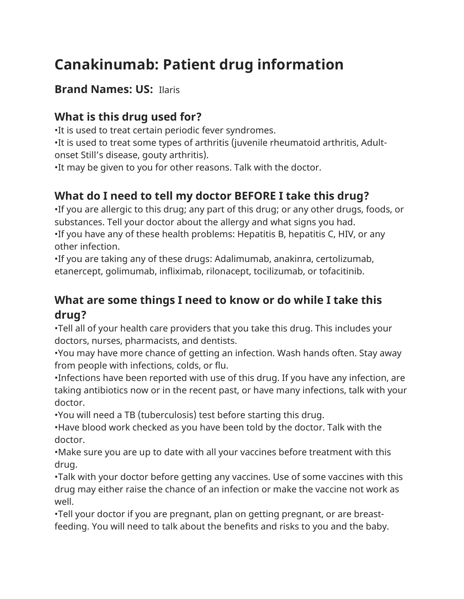# **Canakinumab: Patient drug information**

## **Brand Names: US:** Ilaris

## **What is this drug used for?**

•It is used to treat certain periodic fever syndromes.

•It is used to treat some types of arthritis (juvenile rheumatoid arthritis, Adultonset Still's disease, gouty arthritis).

•It may be given to you for other reasons. Talk with the doctor.

## **What do I need to tell my doctor BEFORE I take this drug?**

•If you are allergic to this drug; any part of this drug; or any other drugs, foods, or substances. Tell your doctor about the allergy and what signs you had.

•If you have any of these health problems: Hepatitis B, hepatitis C, HIV, or any other infection.

•If you are taking any of these drugs: Adalimumab, anakinra, certolizumab, etanercept, golimumab, infliximab, rilonacept, tocilizumab, or tofacitinib.

## **What are some things I need to know or do while I take this drug?**

•Tell all of your health care providers that you take this drug. This includes your doctors, nurses, pharmacists, and dentists.

•You may have more chance of getting an infection. Wash hands often. Stay away from people with infections, colds, or flu.

•Infections have been reported with use of this drug. If you have any infection, are taking antibiotics now or in the recent past, or have many infections, talk with your doctor.

•You will need a TB (tuberculosis) test before starting this drug.

•Have blood work checked as you have been told by the doctor. Talk with the doctor.

•Make sure you are up to date with all your vaccines before treatment with this drug.

•Talk with your doctor before getting any vaccines. Use of some vaccines with this drug may either raise the chance of an infection or make the vaccine not work as well.

•Tell your doctor if you are pregnant, plan on getting pregnant, or are breastfeeding. You will need to talk about the benefits and risks to you and the baby.